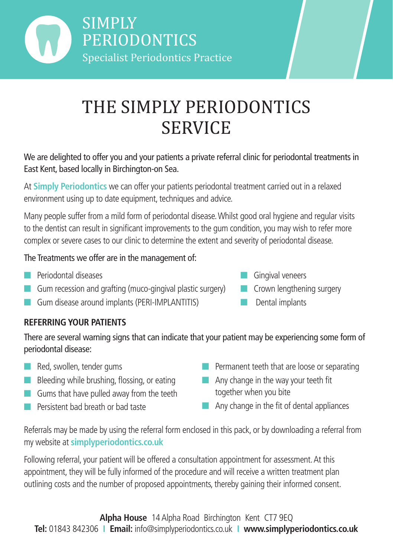

# THE SIMPLY PERIODONTICS **SERVICE**

We are delighted to offer you and your patients a private referral clinic for periodontal treatments in East Kent, based locally in Birchington-on Sea.

At **Simply Periodontics** we can offer your patients periodontal treatment carried out in a relaxed environment using up to date equipment, techniques and advice.

Many people suffer from a mild form of periodontal disease. Whilst good oral hygiene and regular visits to the dentist can result in significant improvements to the gum condition, you may wish to refer more complex or severe cases to our clinic to determine the extent and severity of periodontal disease.

#### The Treatments we offer are in the management of:

- **n** Periodontal diseases
- $\Box$  Gum recession and grafting (muco-gingival plastic surgery)
- **n** Gum disease around implants (PERI-IMPLANTITIS)
- $\Box$  Gingival veneers
- $\blacksquare$  Crown lengthening surgery
- $\Box$  Dental implants

## **REFERRING YOUR PATIENTS**

There are several warning signs that can indicate that your patient may be experiencing some form of periodontal disease:

- $\blacksquare$  Red, swollen, tender gums
- **n** Bleeding while brushing, flossing, or eating
- $\blacksquare$  Gums that have pulled away from the teeth
- **n** Persistent bad breath or bad taste
- $\blacksquare$  Permanent teeth that are loose or separating
- $\blacksquare$  Any change in the way your teeth fit together when you bite
- $\blacksquare$  Any change in the fit of dental appliances

Referrals may be made by using the referral form enclosed in this pack, or by downloading a referral from my website at **simplyperiodontics.co.uk**

Following referral, your patient will be offered a consultation appointment for assessment. At this appointment, they will be fully informed of the procedure and will receive a written treatment plan outlining costs and the number of proposed appointments, thereby gaining their informed consent.